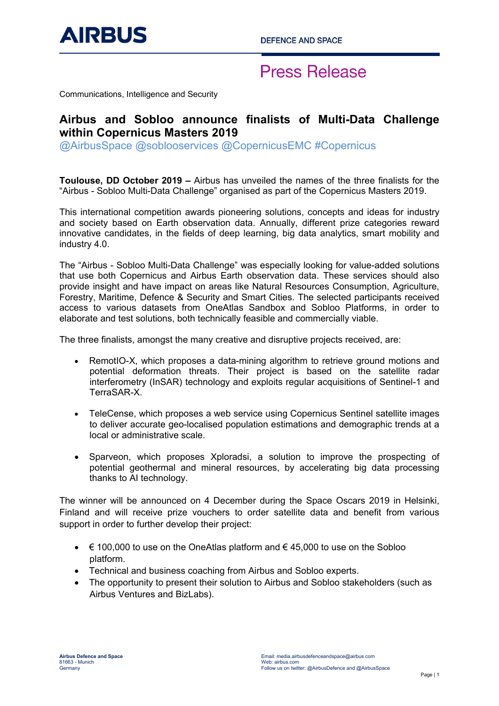

## **Press Release**

Communications, Intelligence and Security

## **Airbus and Sobloo announce finalists of Multi-Data Challenge within Copernicus Masters 2019**

@AirbusSpace @soblooservices @CopernicusEMC #Copernicus

**Toulouse, DD October 2019 –** Airbus has unveiled the names of the three finalists for the "Airbus - Sobloo Multi-Data Challenge" organised as part of the Copernicus Masters 2019.

This international competition awards pioneering solutions, concepts and ideas for industry and society based on Earth observation data. Annually, different prize categories reward innovative candidates, in the fields of deep learning, big data analytics, smart mobility and industry 4.0.

The "Airbus - Sobloo Multi-Data Challenge" was especially looking for value-added solutions that use both Copernicus and Airbus Earth observation data. These services should also provide insight and have impact on areas like Natural Resources Consumption, Agriculture, Forestry, Maritime, Defence & Security and Smart Cities. The selected participants received access to various datasets from OneAtlas Sandbox and Sobloo Platforms, in order to elaborate and test solutions, both technically feasible and commercially viable.

The three finalists, amongst the many creative and disruptive projects received, are:

- RemotIO-X, which proposes a data-mining algorithm to retrieve ground motions and potential deformation threats. Their project is based on the satellite radar interferometry (InSAR) technology and exploits regular acquisitions of Sentinel-1 and TerraSAR-X.
- TeleCense, which proposes a web service using Copernicus Sentinel satellite images to deliver accurate geo-localised population estimations and demographic trends at a local or administrative scale.
- Sparveon, which proposes Xploradsi, a solution to improve the prospecting of potential geothermal and mineral resources, by accelerating big data processing thanks to AI technology.

The winner will be announced on 4 December during the Space Oscars 2019 in Helsinki, Finland and will receive prize vouchers to order satellite data and benefit from various support in order to further develop their project:

- $\in$  100,000 to use on the OneAtlas platform and  $\in$  45,000 to use on the Sobloo platform.
- Technical and business coaching from Airbus and Sobloo experts.
- The opportunity to present their solution to Airbus and Sobloo stakeholders (such as Airbus Ventures and BizLabs).